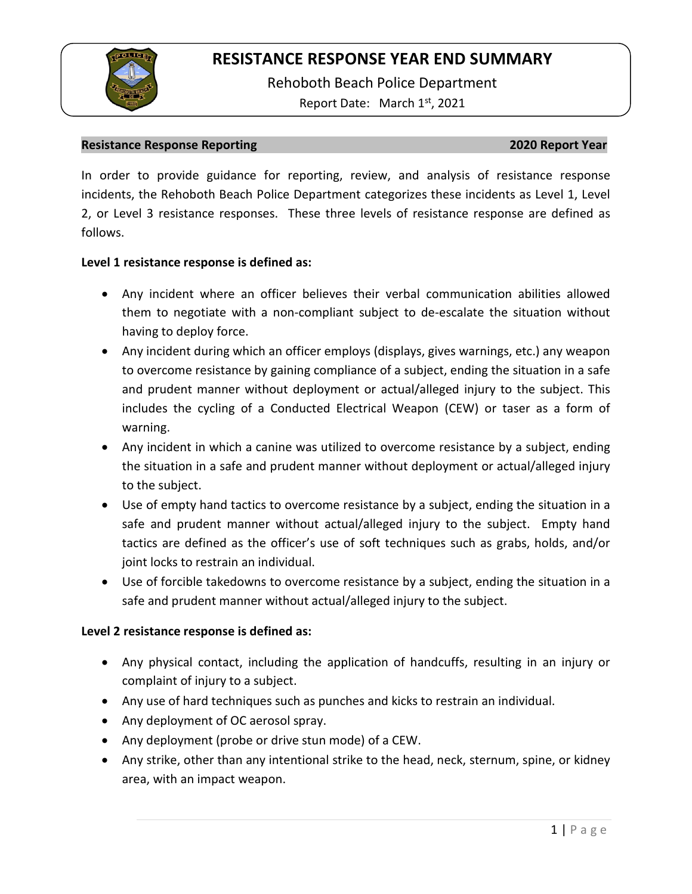

Rehoboth Beach Police Department Report Date: March 1<sup>st</sup>, 2021

#### **Resistance Response Reporting 2020 Report Year**

In order to provide guidance for reporting, review, and analysis of resistance response incidents, the Rehoboth Beach Police Department categorizes these incidents as Level 1, Level 2, or Level 3 resistance responses. These three levels of resistance response are defined as follows.

### **Level 1 resistance response is defined as:**

- Any incident where an officer believes their verbal communication abilities allowed them to negotiate with a non-compliant subject to de-escalate the situation without having to deploy force.
- Any incident during which an officer employs (displays, gives warnings, etc.) any weapon to overcome resistance by gaining compliance of a subject, ending the situation in a safe and prudent manner without deployment or actual/alleged injury to the subject. This includes the cycling of a Conducted Electrical Weapon (CEW) or taser as a form of warning.
- Any incident in which a canine was utilized to overcome resistance by a subject, ending the situation in a safe and prudent manner without deployment or actual/alleged injury to the subject.
- Use of empty hand tactics to overcome resistance by a subject, ending the situation in a safe and prudent manner without actual/alleged injury to the subject. Empty hand tactics are defined as the officer's use of soft techniques such as grabs, holds, and/or joint locks to restrain an individual.
- Use of forcible takedowns to overcome resistance by a subject, ending the situation in a safe and prudent manner without actual/alleged injury to the subject.

### **Level 2 resistance response is defined as:**

- Any physical contact, including the application of handcuffs, resulting in an injury or complaint of injury to a subject.
- Any use of hard techniques such as punches and kicks to restrain an individual.
- Any deployment of OC aerosol spray.
- Any deployment (probe or drive stun mode) of a CEW.
- Any strike, other than any intentional strike to the head, neck, sternum, spine, or kidney area, with an impact weapon.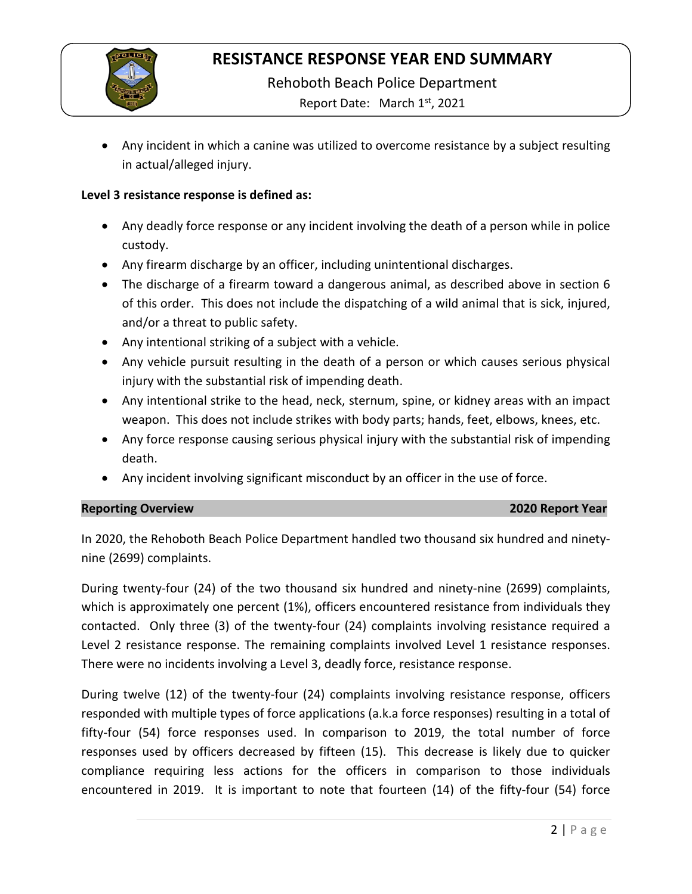

Rehoboth Beach Police Department

Report Date: March 1st, 2021

• Any incident in which a canine was utilized to overcome resistance by a subject resulting in actual/alleged injury.

### **Level 3 resistance response is defined as:**

- Any deadly force response or any incident involving the death of a person while in police custody.
- Any firearm discharge by an officer, including unintentional discharges.
- The discharge of a firearm toward a dangerous animal, as described above in section 6 of this order. This does not include the dispatching of a wild animal that is sick, injured, and/or a threat to public safety.
- Any intentional striking of a subject with a vehicle.
- Any vehicle pursuit resulting in the death of a person or which causes serious physical injury with the substantial risk of impending death.
- Any intentional strike to the head, neck, sternum, spine, or kidney areas with an impact weapon. This does not include strikes with body parts; hands, feet, elbows, knees, etc.
- Any force response causing serious physical injury with the substantial risk of impending death.
- Any incident involving significant misconduct by an officer in the use of force.

### **Reporting Overview 2020 Report Year**

In 2020, the Rehoboth Beach Police Department handled two thousand six hundred and ninetynine (2699) complaints.

During twenty-four (24) of the two thousand six hundred and ninety-nine (2699) complaints, which is approximately one percent (1%), officers encountered resistance from individuals they contacted. Only three (3) of the twenty-four (24) complaints involving resistance required a Level 2 resistance response. The remaining complaints involved Level 1 resistance responses. There were no incidents involving a Level 3, deadly force, resistance response.

During twelve (12) of the twenty-four (24) complaints involving resistance response, officers responded with multiple types of force applications (a.k.a force responses) resulting in a total of fifty-four (54) force responses used. In comparison to 2019, the total number of force responses used by officers decreased by fifteen (15). This decrease is likely due to quicker compliance requiring less actions for the officers in comparison to those individuals encountered in 2019. It is important to note that fourteen (14) of the fifty-four (54) force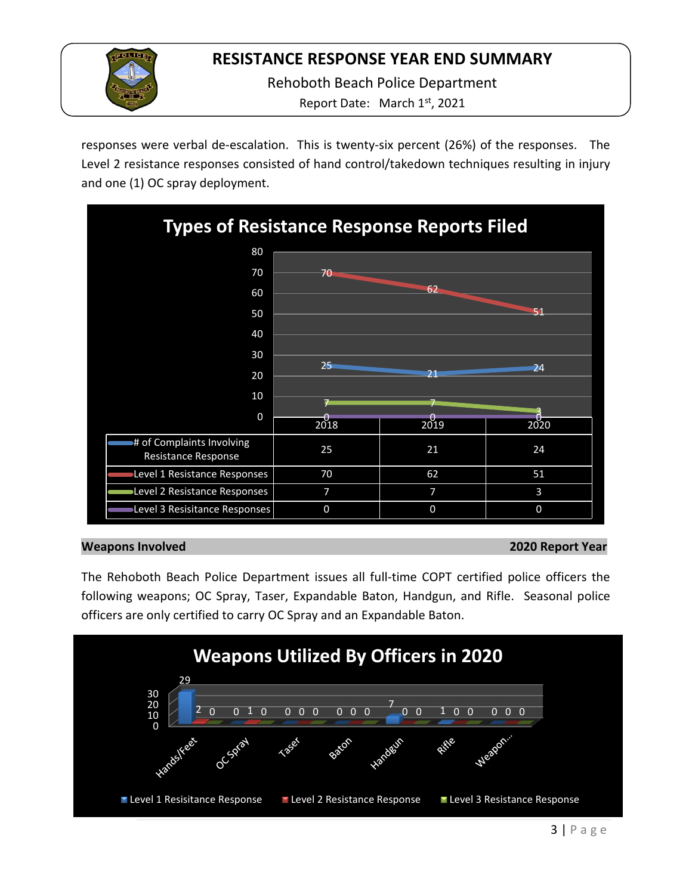

Rehoboth Beach Police Department

Report Date: March 1<sup>st</sup>, 2021

responses were verbal de-escalation. This is twenty-six percent (26%) of the responses. The Level 2 resistance responses consisted of hand control/takedown techniques resulting in injury and one (1) OC spray deployment.



### **Weapons Involved 2020 Report Year**

The Rehoboth Beach Police Department issues all full-time COPT certified police officers the following weapons; OC Spray, Taser, Expandable Baton, Handgun, and Rifle. Seasonal police officers are only certified to carry OC Spray and an Expandable Baton.

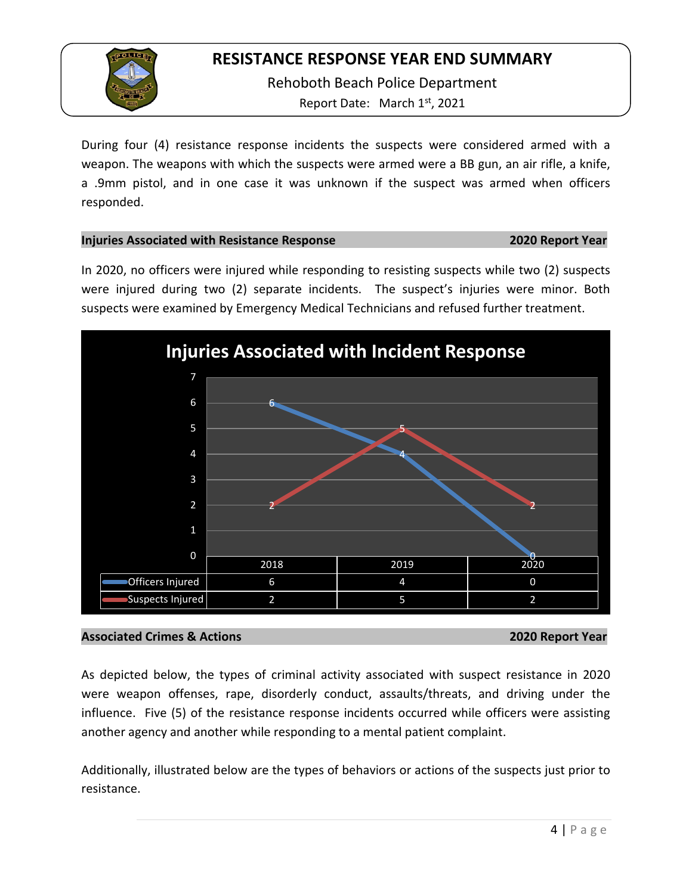

Rehoboth Beach Police Department Report Date: March 1st, 2021

During four (4) resistance response incidents the suspects were considered armed with a weapon. The weapons with which the suspects were armed were a BB gun, an air rifle, a knife, a .9mm pistol, and in one case it was unknown if the suspect was armed when officers responded.

### **Injuries Associated with Resistance Response 2020 Report Year**

In 2020, no officers were injured while responding to resisting suspects while two (2) suspects were injured during two (2) separate incidents. The suspect's injuries were minor. Both suspects were examined by Emergency Medical Technicians and refused further treatment.



### **Associated Crimes & Actions 2020 Report Year**

As depicted below, the types of criminal activity associated with suspect resistance in 2020 were weapon offenses, rape, disorderly conduct, assaults/threats, and driving under the influence. Five (5) of the resistance response incidents occurred while officers were assisting another agency and another while responding to a mental patient complaint.

Additionally, illustrated below are the types of behaviors or actions of the suspects just prior to resistance.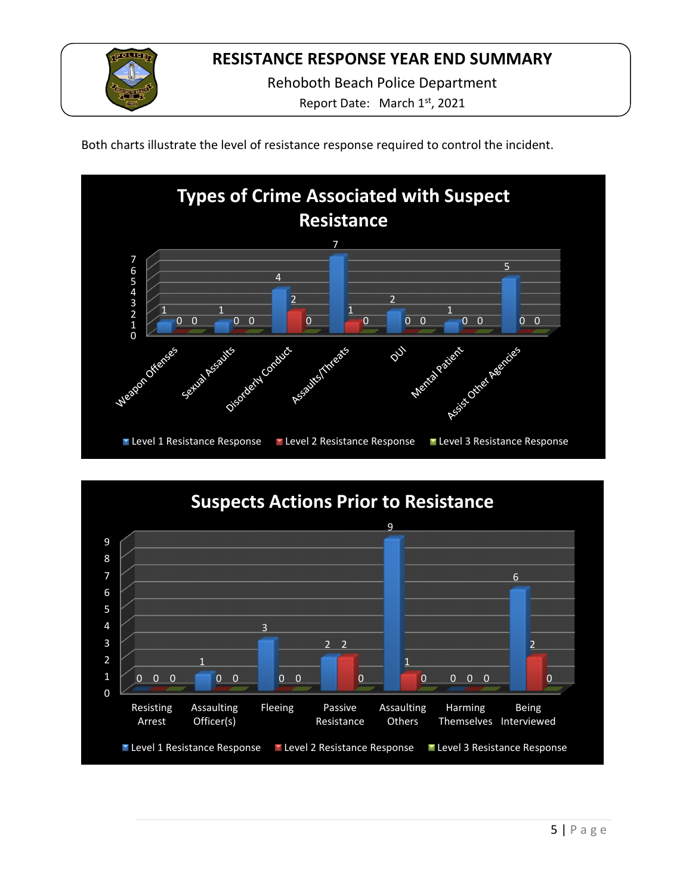

Rehoboth Beach Police Department

Report Date: March 1<sup>st</sup>, 2021

Both charts illustrate the level of resistance response required to control the incident.



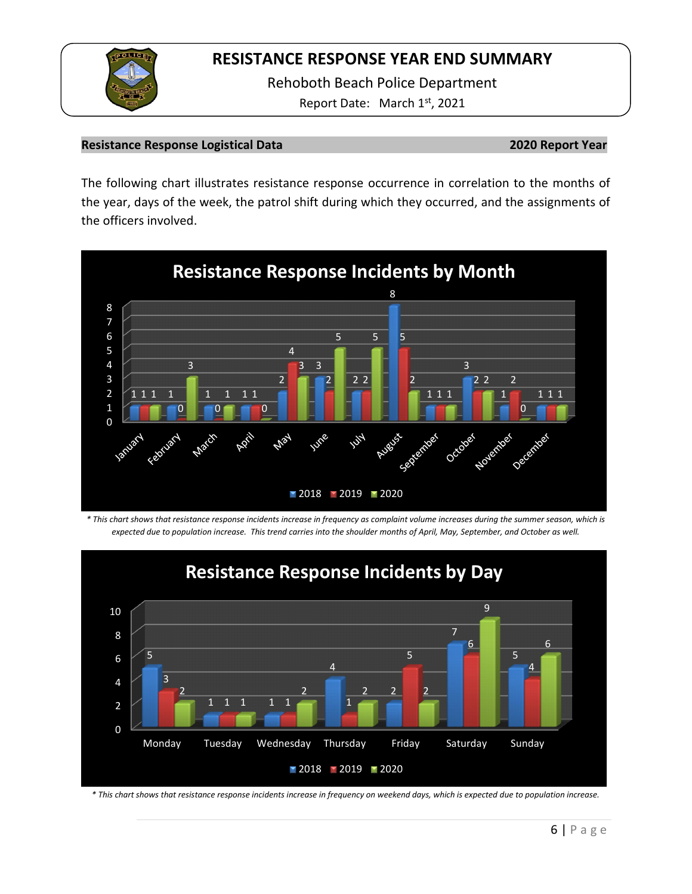

Rehoboth Beach Police Department Report Date: March 1st, 2021

### **Resistance Response Logistical Data 2020 Report Year**

The following chart illustrates resistance response occurrence in correlation to the months of the year, days of the week, the patrol shift during which they occurred, and the assignments of the officers involved.



*\* This chart shows that resistance response incidents increase in frequency as complaint volume increases during the summer season, which is expected due to population increase. This trend carries into the shoulder months of April, May, September, and October as well.*



*\* This chart shows that resistance response incidents increase in frequency on weekend days, which is expected due to population increase.*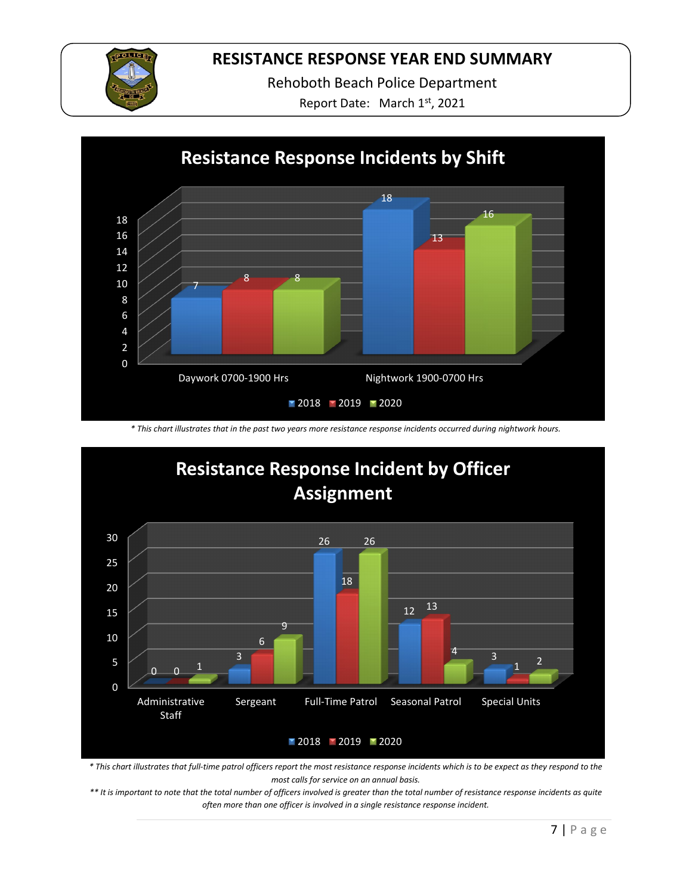

Rehoboth Beach Police Department

Report Date: March 1st, 2021



*\* This chart illustrates that in the past two years more resistance response incidents occurred during nightwork hours.*



*\* This chart illustrates that full-time patrol officers report the most resistance response incidents which is to be expect as they respond to the most calls for service on an annual basis.* 

*\*\* It is important to note that the total number of officers involved is greater than the total number of resistance response incidents as quite often more than one officer is involved in a single resistance response incident.*